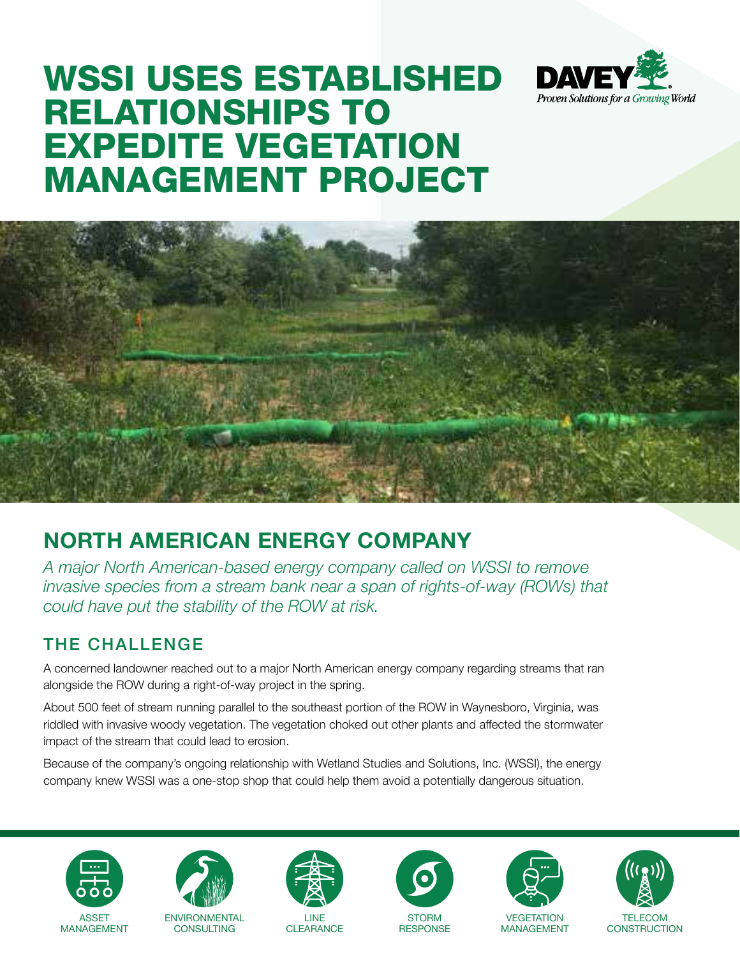

# WSSI USES ESTABLISHED RELATIONSHIPS TO EXPEDITE VEGETATION MANAGEMENT PROJECT



## **NORTH AMERICAN ENERGY COMPANY**

*A major North American-based energy company called on WSSI to remove invasive species from a stream bank near a span of rights-of-way (ROWs) that could have put the stability of the ROW at risk.*

### THE CHALLENGE

A concerned landowner reached out to a major North American energy company regarding streams that ran alongside the ROW during a right-of-way project in the spring.

About 500 feet of stream running parallel to the southeast portion of the ROW in Waynesboro, Virginia, was riddled with invasive woody vegetation. The vegetation choked out other plants and affected the stormwater impact of the stream that could lead to erosion.

Because of the company's ongoing relationship with Wetland Studies and Solutions, Inc. (WSSI), the energy company knew WSSI was a one-stop shop that could help them avoid a potentially dangerous situation.